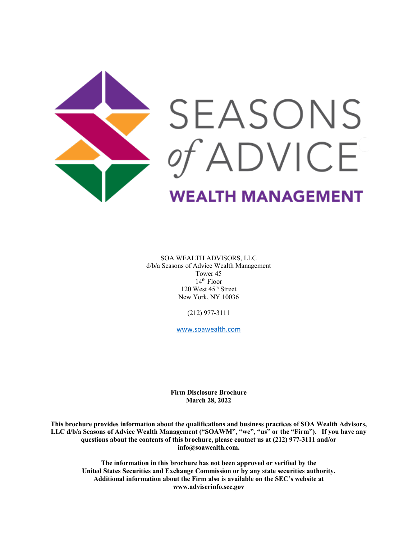

SOA WEALTH ADVISORS, LLC d/b/a Seasons of Advice Wealth Management Tower 45 14th Floor 120 West 45th Street New York, NY 10036

(212) 977-3111

www.soawealth.com

**Firm Disclosure Brochure March 28, 2022**

**This brochure provides information about the qualifications and business practices of SOA Wealth Advisors, LLC d/b/a Seasons of Advice Wealth Management ("SOAWM", "we", "us" or the "Firm"). If you have any questions about the contents of this brochure, please contact us at (212) 977-3111 and/or info@soawealth.com.**

**The information in this brochure has not been approved or verified by the United States Securities and Exchange Commission or by any state securities authority. Additional information about the Firm also is available on the SEC's website at www.adviserinfo.sec.gov**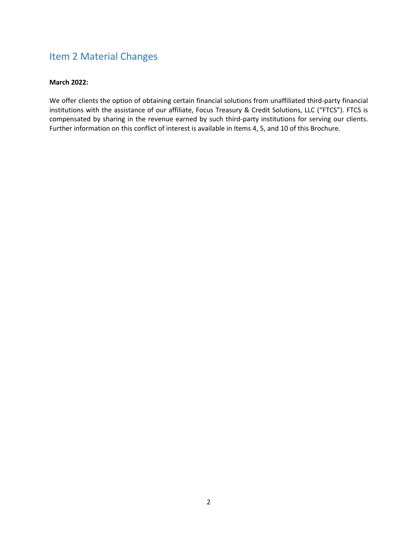# Item 2 Material Changes

### **March 2022:**

We offer clients the option of obtaining certain financial solutions from unaffiliated third-party financial institutions with the assistance of our affiliate, Focus Treasury & Credit Solutions, LLC ("FTCS"). FTCS is compensated by sharing in the revenue earned by such third-party institutions for serving our clients. Further information on this conflict of interest is available in Items 4, 5, and 10 of this Brochure.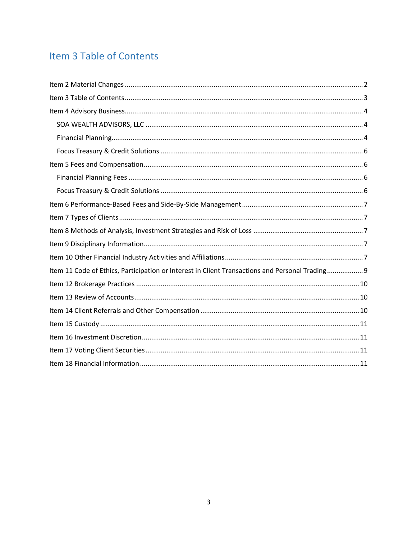# Item 3 Table of Contents

| Item 11 Code of Ethics, Participation or Interest in Client Transactions and Personal Trading 9 |
|-------------------------------------------------------------------------------------------------|
|                                                                                                 |
|                                                                                                 |
|                                                                                                 |
|                                                                                                 |
|                                                                                                 |
|                                                                                                 |
|                                                                                                 |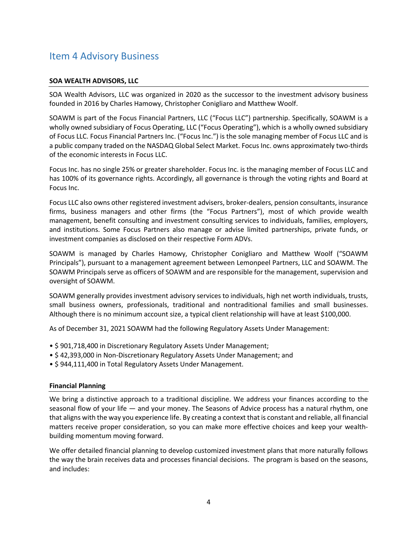# Item 4 Advisory Business

#### **SOA WEALTH ADVISORS, LLC**

SOA Wealth Advisors, LLC was organized in 2020 as the successor to the investment advisory business founded in 2016 by Charles Hamowy, Christopher Conigliaro and Matthew Woolf.

SOAWM is part of the Focus Financial Partners, LLC ("Focus LLC") partnership. Specifically, SOAWM is a wholly owned subsidiary of Focus Operating, LLC ("Focus Operating"), which is a wholly owned subsidiary of Focus LLC. Focus Financial Partners Inc. ("Focus Inc.") is the sole managing member of Focus LLC and is a public company traded on the NASDAQ Global Select Market. Focus Inc. owns approximately two-thirds of the economic interests in Focus LLC.

Focus Inc. has no single 25% or greater shareholder. Focus Inc. is the managing member of Focus LLC and has 100% of its governance rights. Accordingly, all governance is through the voting rights and Board at Focus Inc.

Focus LLC also owns other registered investment advisers, broker-dealers, pension consultants, insurance firms, business managers and other firms (the "Focus Partners"), most of which provide wealth management, benefit consulting and investment consulting services to individuals, families, employers, and institutions. Some Focus Partners also manage or advise limited partnerships, private funds, or investment companies as disclosed on their respective Form ADVs.

SOAWM is managed by Charles Hamowy, Christopher Conigliaro and Matthew Woolf ("SOAWM Principals"), pursuant to a management agreement between Lemonpeel Partners, LLC and SOAWM. The SOAWM Principals serve as officers of SOAWM and are responsible for the management, supervision and oversight of SOAWM.

SOAWM generally provides investment advisory services to individuals, high net worth individuals, trusts, small business owners, professionals, traditional and nontraditional families and small businesses. Although there is no minimum account size, a typical client relationship will have at least \$100,000.

As of December 31, 2021 SOAWM had the following Regulatory Assets Under Management:

- \$ 901,718,400 in Discretionary Regulatory Assets Under Management;
- \$ 42,393,000 in Non-Discretionary Regulatory Assets Under Management; and
- \$ 944,111,400 in Total Regulatory Assets Under Management.

#### **Financial Planning**

We bring a distinctive approach to a traditional discipline. We address your finances according to the seasonal flow of your life — and your money. The Seasons of Advice process has a natural rhythm, one that aligns with the way you experience life. By creating a context that is constant and reliable, all financial matters receive proper consideration, so you can make more effective choices and keep your wealthbuilding momentum moving forward.

We offer detailed financial planning to develop customized investment plans that more naturally follows the way the brain receives data and processes financial decisions. The program is based on the seasons, and includes: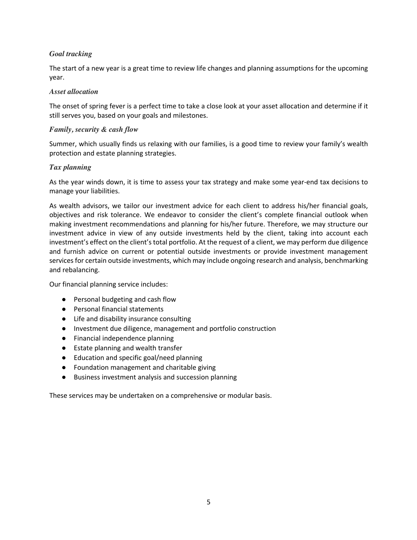### *Goal tracking*

The start of a new year is a great time to review life changes and planning assumptions for the upcoming year.

### *Asset allocation*

The onset of spring fever is a perfect time to take a close look at your asset allocation and determine if it still serves you, based on your goals and milestones.

### *Family, security & cash flow*

Summer, which usually finds us relaxing with our families, is a good time to review your family's wealth protection and estate planning strategies.

### *Tax planning*

As the year winds down, it is time to assess your tax strategy and make some year-end tax decisions to manage your liabilities.

As wealth advisors, we tailor our investment advice for each client to address his/her financial goals, objectives and risk tolerance. We endeavor to consider the client's complete financial outlook when making investment recommendations and planning for his/her future. Therefore, we may structure our investment advice in view of any outside investments held by the client, taking into account each investment's effect on the client's total portfolio. At the request of a client, we may perform due diligence and furnish advice on current or potential outside investments or provide investment management services for certain outside investments, which may include ongoing research and analysis, benchmarking and rebalancing.

Our financial planning service includes:

- Personal budgeting and cash flow
- Personal financial statements
- Life and disability insurance consulting
- Investment due diligence, management and portfolio construction
- Financial independence planning
- Estate planning and wealth transfer
- Education and specific goal/need planning
- Foundation management and charitable giving
- Business investment analysis and succession planning

These services may be undertaken on a comprehensive or modular basis.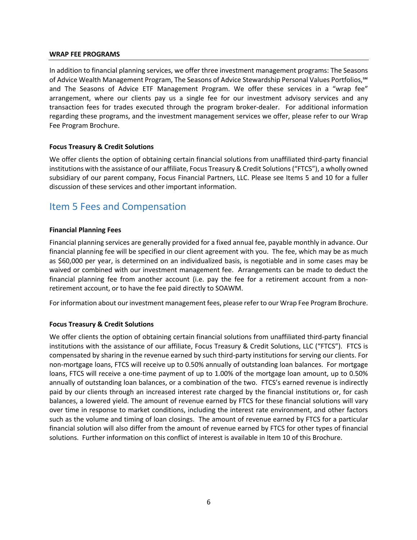#### **WRAP FEE PROGRAMS**

In addition to financial planning services, we offer three investment management programs: The Seasons of Advice Wealth Management Program, The Seasons of Advice Stewardship Personal Values Portfolios,℠ and The Seasons of Advice ETF Management Program. We offer these services in a "wrap fee" arrangement, where our clients pay us a single fee for our investment advisory services and any transaction fees for trades executed through the program broker-dealer. For additional information regarding these programs, and the investment management services we offer, please refer to our Wrap Fee Program Brochure.

#### **Focus Treasury & Credit Solutions**

We offer clients the option of obtaining certain financial solutions from unaffiliated third-party financial institutions with the assistance of our affiliate, Focus Treasury & Credit Solutions ("FTCS"), a wholly owned subsidiary of our parent company, Focus Financial Partners, LLC. Please see Items 5 and 10 for a fuller discussion of these services and other important information.

### Item 5 Fees and Compensation

#### **Financial Planning Fees**

Financial planning services are generally provided for a fixed annual fee, payable monthly in advance. Our financial planning fee will be specified in our client agreement with you. The fee, which may be as much as \$60,000 per year, is determined on an individualized basis, is negotiable and in some cases may be waived or combined with our investment management fee. Arrangements can be made to deduct the financial planning fee from another account (i.e. pay the fee for a retirement account from a nonretirement account, or to have the fee paid directly to SOAWM.

For information about our investment management fees, please refer to our Wrap Fee Program Brochure.

### **Focus Treasury & Credit Solutions**

We offer clients the option of obtaining certain financial solutions from unaffiliated third-party financial institutions with the assistance of our affiliate, Focus Treasury & Credit Solutions, LLC ("FTCS"). FTCS is compensated by sharing in the revenue earned by such third-party institutions for serving our clients. For non-mortgage loans, FTCS will receive up to 0.50% annually of outstanding loan balances. For mortgage loans, FTCS will receive a one-time payment of up to 1.00% of the mortgage loan amount, up to 0.50% annually of outstanding loan balances, or a combination of the two. FTCS's earned revenue is indirectly paid by our clients through an increased interest rate charged by the financial institutions or, for cash balances, a lowered yield. The amount of revenue earned by FTCS for these financial solutions will vary over time in response to market conditions, including the interest rate environment, and other factors such as the volume and timing of loan closings. The amount of revenue earned by FTCS for a particular financial solution will also differ from the amount of revenue earned by FTCS for other types of financial solutions. Further information on this conflict of interest is available in Item 10 of this Brochure.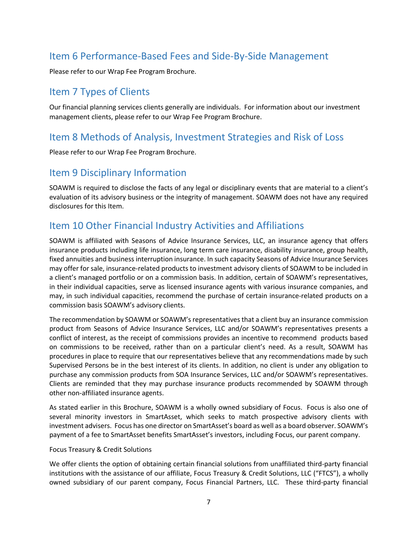# Item 6 Performance-Based Fees and Side-By-Side Management

Please refer to our Wrap Fee Program Brochure.

### Item 7 Types of Clients

Our financial planning services clients generally are individuals. For information about our investment management clients, please refer to our Wrap Fee Program Brochure.

### Item 8 Methods of Analysis, Investment Strategies and Risk of Loss

Please refer to our Wrap Fee Program Brochure.

### Item 9 Disciplinary Information

SOAWM is required to disclose the facts of any legal or disciplinary events that are material to a client's evaluation of its advisory business or the integrity of management. SOAWM does not have any required disclosures for this Item.

# Item 10 Other Financial Industry Activities and Affiliations

SOAWM is affiliated with Seasons of Advice Insurance Services, LLC, an insurance agency that offers insurance products including life insurance, long term care insurance, disability insurance, group health, fixed annuities and business interruption insurance. In such capacity Seasons of Advice Insurance Services may offer for sale, insurance-related products to investment advisory clients of SOAWM to be included in a client's managed portfolio or on a commission basis. In addition, certain of SOAWM's representatives, in their individual capacities, serve as licensed insurance agents with various insurance companies, and may, in such individual capacities, recommend the purchase of certain insurance-related products on a commission basis SOAWM's advisory clients.

The recommendation by SOAWM or SOAWM's representatives that a client buy an insurance commission product from Seasons of Advice Insurance Services, LLC and/or SOAWM's representatives presents a conflict of interest, as the receipt of commissions provides an incentive to recommend products based on commissions to be received, rather than on a particular client's need. As a result, SOAWM has procedures in place to require that our representatives believe that any recommendations made by such Supervised Persons be in the best interest of its clients. In addition, no client is under any obligation to purchase any commission products from SOA Insurance Services, LLC and/or SOAWM's representatives. Clients are reminded that they may purchase insurance products recommended by SOAWM through other non-affiliated insurance agents.

As stated earlier in this Brochure, SOAWM is a wholly owned subsidiary of Focus. Focus is also one of several minority investors in SmartAsset, which seeks to match prospective advisory clients with investment advisers. Focus has one director on SmartAsset's board as well as a board observer. SOAWM's payment of a fee to SmartAsset benefits SmartAsset's investors, including Focus, our parent company.

### Focus Treasury & Credit Solutions

We offer clients the option of obtaining certain financial solutions from unaffiliated third-party financial institutions with the assistance of our affiliate, Focus Treasury & Credit Solutions, LLC ("FTCS"), a wholly owned subsidiary of our parent company, Focus Financial Partners, LLC. These third-party financial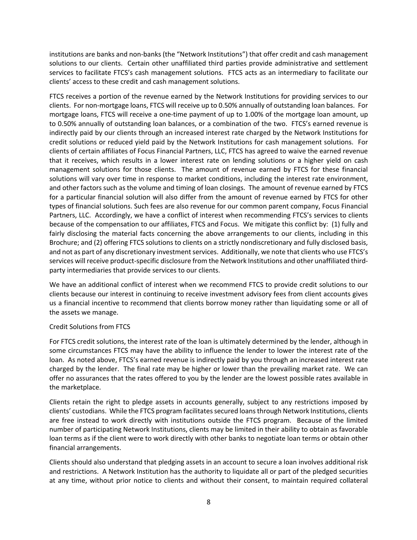institutions are banks and non-banks (the "Network Institutions") that offer credit and cash management solutions to our clients. Certain other unaffiliated third parties provide administrative and settlement services to facilitate FTCS's cash management solutions. FTCS acts as an intermediary to facilitate our clients' access to these credit and cash management solutions.

FTCS receives a portion of the revenue earned by the Network Institutions for providing services to our clients. For non-mortgage loans, FTCS will receive up to 0.50% annually of outstanding loan balances. For mortgage loans, FTCS will receive a one-time payment of up to 1.00% of the mortgage loan amount, up to 0.50% annually of outstanding loan balances, or a combination of the two. FTCS's earned revenue is indirectly paid by our clients through an increased interest rate charged by the Network Institutions for credit solutions or reduced yield paid by the Network Institutions for cash management solutions. For clients of certain affiliates of Focus Financial Partners, LLC, FTCS has agreed to waive the earned revenue that it receives, which results in a lower interest rate on lending solutions or a higher yield on cash management solutions for those clients. The amount of revenue earned by FTCS for these financial solutions will vary over time in response to market conditions, including the interest rate environment, and other factors such as the volume and timing of loan closings. The amount of revenue earned by FTCS for a particular financial solution will also differ from the amount of revenue earned by FTCS for other types of financial solutions. Such fees are also revenue for our common parent company, Focus Financial Partners, LLC. Accordingly, we have a conflict of interest when recommending FTCS's services to clients because of the compensation to our affiliates, FTCS and Focus. We mitigate this conflict by: (1) fully and fairly disclosing the material facts concerning the above arrangements to our clients, including in this Brochure; and (2) offering FTCS solutions to clients on a strictly nondiscretionary and fully disclosed basis, and not as part of any discretionary investment services. Additionally, we note that clients who use FTCS's services will receive product-specific disclosure from the Network Institutions and other unaffiliated thirdparty intermediaries that provide services to our clients.

We have an additional conflict of interest when we recommend FTCS to provide credit solutions to our clients because our interest in continuing to receive investment advisory fees from client accounts gives us a financial incentive to recommend that clients borrow money rather than liquidating some or all of the assets we manage.

### Credit Solutions from FTCS

For FTCS credit solutions, the interest rate of the loan is ultimately determined by the lender, although in some circumstances FTCS may have the ability to influence the lender to lower the interest rate of the loan. As noted above, FTCS's earned revenue is indirectly paid by you through an increased interest rate charged by the lender. The final rate may be higher or lower than the prevailing market rate. We can offer no assurances that the rates offered to you by the lender are the lowest possible rates available in the marketplace.

Clients retain the right to pledge assets in accounts generally, subject to any restrictions imposed by clients' custodians. While the FTCS program facilitates secured loans through Network Institutions, clients are free instead to work directly with institutions outside the FTCS program. Because of the limited number of participating Network Institutions, clients may be limited in their ability to obtain as favorable loan terms as if the client were to work directly with other banks to negotiate loan terms or obtain other financial arrangements.

Clients should also understand that pledging assets in an account to secure a loan involves additional risk and restrictions. A Network Institution has the authority to liquidate all or part of the pledged securities at any time, without prior notice to clients and without their consent, to maintain required collateral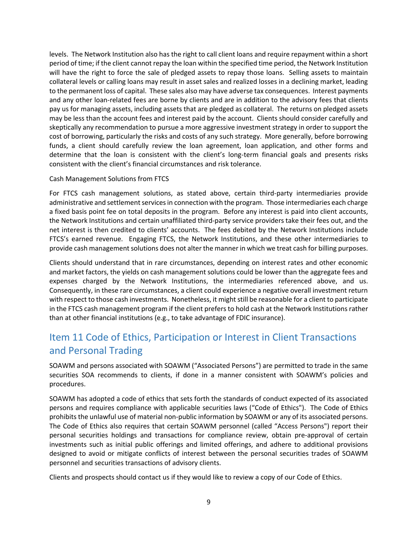levels. The Network Institution also has the right to call client loans and require repayment within a short period of time; if the client cannot repay the loan within the specified time period, the Network Institution will have the right to force the sale of pledged assets to repay those loans. Selling assets to maintain collateral levels or calling loans may result in asset sales and realized losses in a declining market, leading to the permanent loss of capital. These sales also may have adverse tax consequences. Interest payments and any other loan-related fees are borne by clients and are in addition to the advisory fees that clients pay us for managing assets, including assets that are pledged as collateral. The returns on pledged assets may be less than the account fees and interest paid by the account. Clients should consider carefully and skeptically any recommendation to pursue a more aggressive investment strategy in order to support the cost of borrowing, particularly the risks and costs of any such strategy. More generally, before borrowing funds, a client should carefully review the loan agreement, loan application, and other forms and determine that the loan is consistent with the client's long-term financial goals and presents risks consistent with the client's financial circumstances and risk tolerance.

#### Cash Management Solutions from FTCS

For FTCS cash management solutions, as stated above, certain third-party intermediaries provide administrative and settlement services in connection with the program. Those intermediaries each charge a fixed basis point fee on total deposits in the program. Before any interest is paid into client accounts, the Network Institutions and certain unaffiliated third-party service providers take their fees out, and the net interest is then credited to clients' accounts. The fees debited by the Network Institutions include FTCS's earned revenue. Engaging FTCS, the Network Institutions, and these other intermediaries to provide cash management solutions does not alter the manner in which we treat cash for billing purposes.

Clients should understand that in rare circumstances, depending on interest rates and other economic and market factors, the yields on cash management solutions could be lower than the aggregate fees and expenses charged by the Network Institutions, the intermediaries referenced above, and us. Consequently, in these rare circumstances, a client could experience a negative overall investment return with respect to those cash investments. Nonetheless, it might still be reasonable for a client to participate in the FTCS cash management program if the client prefers to hold cash at the Network Institutions rather than at other financial institutions (e.g., to take advantage of FDIC insurance).

# Item 11 Code of Ethics, Participation or Interest in Client Transactions and Personal Trading

SOAWM and persons associated with SOAWM ("Associated Persons") are permitted to trade in the same securities SOA recommends to clients, if done in a manner consistent with SOAWM's policies and procedures.

SOAWM has adopted a code of ethics that sets forth the standards of conduct expected of its associated persons and requires compliance with applicable securities laws ("Code of Ethics"). The Code of Ethics prohibits the unlawful use of material non-public information by SOAWM or any of its associated persons. The Code of Ethics also requires that certain SOAWM personnel (called "Access Persons") report their personal securities holdings and transactions for compliance review, obtain pre-approval of certain investments such as initial public offerings and limited offerings, and adhere to additional provisions designed to avoid or mitigate conflicts of interest between the personal securities trades of SOAWM personnel and securities transactions of advisory clients.

Clients and prospects should contact us if they would like to review a copy of our Code of Ethics.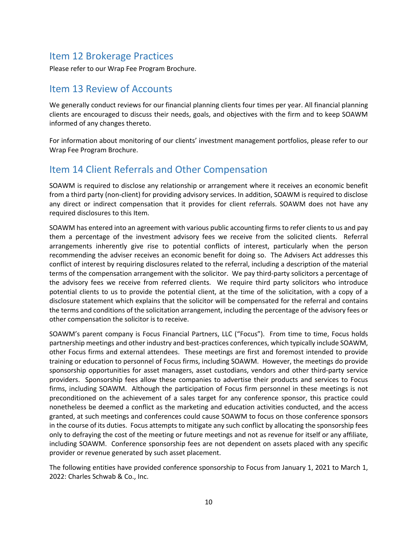### Item 12 Brokerage Practices

Please refer to our Wrap Fee Program Brochure.

### Item 13 Review of Accounts

We generally conduct reviews for our financial planning clients four times per year. All financial planning clients are encouraged to discuss their needs, goals, and objectives with the firm and to keep SOAWM informed of any changes thereto.

For information about monitoring of our clients' investment management portfolios, please refer to our Wrap Fee Program Brochure.

# Item 14 Client Referrals and Other Compensation

SOAWM is required to disclose any relationship or arrangement where it receives an economic benefit from a third party (non-client) for providing advisory services. In addition, SOAWM is required to disclose any direct or indirect compensation that it provides for client referrals. SOAWM does not have any required disclosures to this Item.

SOAWM has entered into an agreement with various public accounting firms to refer clients to us and pay them a percentage of the investment advisory fees we receive from the solicited clients. Referral arrangements inherently give rise to potential conflicts of interest, particularly when the person recommending the adviser receives an economic benefit for doing so. The Advisers Act addresses this conflict of interest by requiring disclosures related to the referral, including a description of the material terms of the compensation arrangement with the solicitor. We pay third-party solicitors a percentage of the advisory fees we receive from referred clients. We require third party solicitors who introduce potential clients to us to provide the potential client, at the time of the solicitation, with a copy of a disclosure statement which explains that the solicitor will be compensated for the referral and contains the terms and conditions of the solicitation arrangement, including the percentage of the advisory fees or other compensation the solicitor is to receive.

SOAWM's parent company is Focus Financial Partners, LLC ("Focus"). From time to time, Focus holds partnership meetings and other industry and best-practices conferences, which typically include SOAWM, other Focus firms and external attendees. These meetings are first and foremost intended to provide training or education to personnel of Focus firms, including SOAWM. However, the meetings do provide sponsorship opportunities for asset managers, asset custodians, vendors and other third-party service providers. Sponsorship fees allow these companies to advertise their products and services to Focus firms, including SOAWM. Although the participation of Focus firm personnel in these meetings is not preconditioned on the achievement of a sales target for any conference sponsor, this practice could nonetheless be deemed a conflict as the marketing and education activities conducted, and the access granted, at such meetings and conferences could cause SOAWM to focus on those conference sponsors in the course of its duties. Focus attempts to mitigate any such conflict by allocating the sponsorship fees only to defraying the cost of the meeting or future meetings and not as revenue for itself or any affiliate, including SOAWM. Conference sponsorship fees are not dependent on assets placed with any specific provider or revenue generated by such asset placement.

The following entities have provided conference sponsorship to Focus from January 1, 2021 to March 1, 2022: Charles Schwab & Co., Inc.